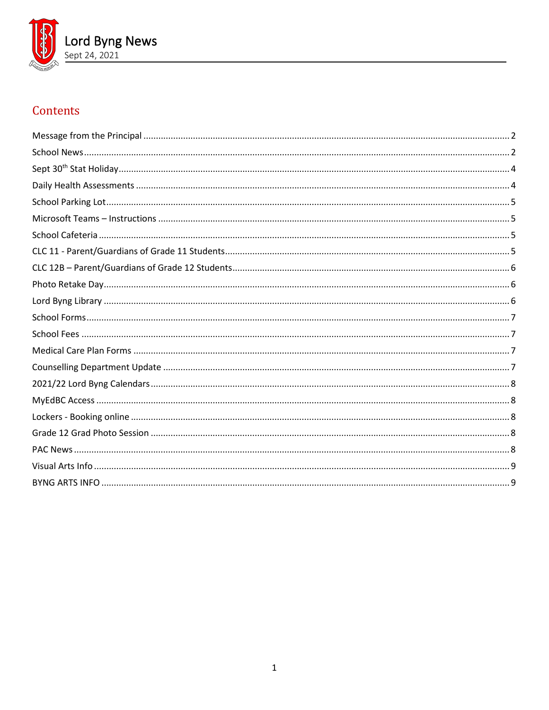

# Contents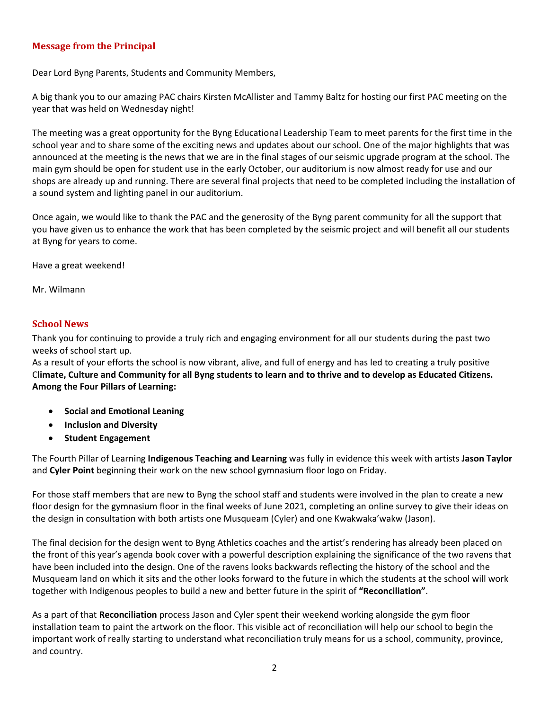# <span id="page-1-0"></span>**Message from the Principal**

Dear Lord Byng Parents, Students and Community Members,

A big thank you to our amazing PAC chairs Kirsten McAllister and Tammy Baltz for hosting our first PAC meeting on the year that was held on Wednesday night!

The meeting was a great opportunity for the Byng Educational Leadership Team to meet parents for the first time in the school year and to share some of the exciting news and updates about our school. One of the major highlights that was announced at the meeting is the news that we are in the final stages of our seismic upgrade program at the school. The main gym should be open for student use in the early October, our auditorium is now almost ready for use and our shops are already up and running. There are several final projects that need to be completed including the installation of a sound system and lighting panel in our auditorium.

Once again, we would like to thank the PAC and the generosity of the Byng parent community for all the support that you have given us to enhance the work that has been completed by the seismic project and will benefit all our students at Byng for years to come.

Have a great weekend!

Mr. Wilmann

## <span id="page-1-1"></span>**School News**

Thank you for continuing to provide a truly rich and engaging environment for all our students during the past two weeks of school start up.

As a result of your efforts the school is now vibrant, alive, and full of energy and has led to creating a truly positive Cl**imate, Culture and Community for all Byng students to learn and to thrive and to develop as Educated Citizens. Among the Four Pillars of Learning:**

- **Social and Emotional Leaning**
- **Inclusion and Diversity**
- **Student Engagement**

The Fourth Pillar of Learning **Indigenous Teaching and Learning** was fully in evidence this week with artists **Jason Taylor** and **Cyler Point** beginning their work on the new school gymnasium floor logo on Friday.

For those staff members that are new to Byng the school staff and students were involved in the plan to create a new floor design for the gymnasium floor in the final weeks of June 2021, completing an online survey to give their ideas on the design in consultation with both artists one Musqueam (Cyler) and one Kwakwaka'wakw (Jason).

The final decision for the design went to Byng Athletics coaches and the artist's rendering has already been placed on the front of this year's agenda book cover with a powerful description explaining the significance of the two ravens that have been included into the design. One of the ravens looks backwards reflecting the history of the school and the Musqueam land on which it sits and the other looks forward to the future in which the students at the school will work together with Indigenous peoples to build a new and better future in the spirit of **"Reconciliation"**.

As a part of that **Reconciliation** process Jason and Cyler spent their weekend working alongside the gym floor installation team to paint the artwork on the floor. This visible act of reconciliation will help our school to begin the important work of really starting to understand what reconciliation truly means for us a school, community, province, and country.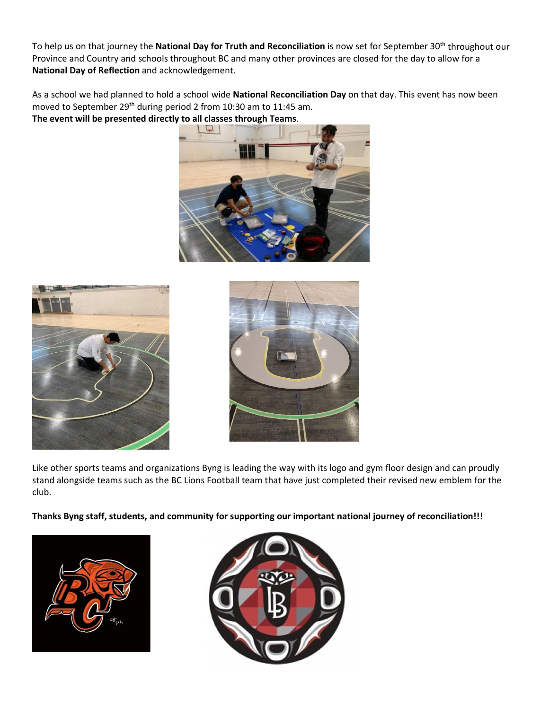To help us on that journey the National Day for Truth and Reconciliation is now set for September 30<sup>th</sup> throughout our Province and Country and schools throughout BC and many other provinces are closed for the day to allow for a **National Day of Reflection** and acknowledgement.

As a school we had planned to hold a school wide **National Reconciliation Day** on that day. This event has now been moved to September 29<sup>th</sup> during period 2 from 10:30 am to 11:45 am. **The event will be presented directly to all classes through Teams**.







Like other sports teams and organizations Byng is leading the way with its logo and gym floor design and can proudly stand alongside teams such as the BC Lions Football team that have just completed their revised new emblem for the club.

**Thanks Byng staff, students, and community for supporting our important national journey of reconciliation!!!**



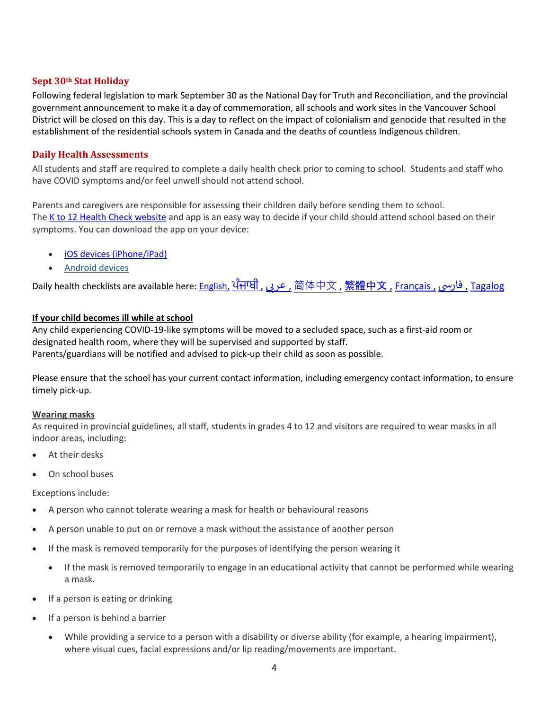## <span id="page-3-0"></span>**Sept 30th Stat Holiday**

Following federal legislation to mark September 30 as the National Day for Truth and Reconciliation, and the provincial government announcement to make it a day of commemoration, all schools and work sites in the Vancouver School District will be closed on this day. This is a day to reflect on the impact of colonialism and genocide that resulted in the establishment of the residential schools system in Canada and the deaths of countless Indigenous children.

## <span id="page-3-1"></span>**Daily Health Assessments**

All students and staff are required to complete a daily health check prior to coming to school. Students and staff who have COVID symptoms and/or feel unwell should not attend school.

Parents and caregivers are responsible for assessing their children daily before sending them to school. The  $K$  to 12 Health Check website and app is an easy way to decide if your child should attend school based on their symptoms. You can download the app on your device:

- [iOS devices \(iPhone/iPad\)](https://apps.apple.com/us/app/bc-k-12-daily-health-checker/id1547334827)
- [Android devices](https://play.google.com/store/apps/details?id=com.qp.k12App)

Daily health checklists are available here: [English,](https://www2.gov.bc.ca/assets/gov/education/kindergarten-to-grade-12/covid/daily-health-check-english.pdf) [ਪੰਜਾਬੀ](https://www2.gov.bc.ca/assets/gov/education/kindergarten-to-grade-12/covid/daily-health-check-punjabi.pdf) [,](https://www2.gov.bc.ca/assets/gov/education/kindergarten-to-grade-12/covid/daily-health-check-farsi.pdf) عرى , [简体中文](https://www2.gov.bc.ca/assets/gov/education/kindergarten-to-grade-12/covid/daily-health-check-chinese-simplified.pdf) , [繁體中文](https://www2.gov.bc.ca/assets/gov/education/kindergarten-to-grade-12/covid/daily-health-check-chinese-traditional.pdf) , [Français ,](https://www2.gov.bc.ca/assets/gov/education/kindergarten-to-grade-12/covid/daily-health-check-french.pdf) فارسی , [Tagalog](https://www2.gov.bc.ca/assets/gov/education/kindergarten-to-grade-12/covid/daily-health-check-tagalog.pdf)

# **If your child becomes ill while at school**

Any child experiencing COVID-19-like symptoms will be moved to a secluded space, such as a first-aid room or designated health room, where they will be supervised and supported by staff. Parents/guardians will be notified and advised to pick-up their child as soon as possible.

Please ensure that the school has your current contact information, including emergency contact information, to ensure timely pick-up.

#### **Wearing masks**

As required in provincial guidelines, all staff, students in grades 4 to 12 and visitors are required to wear masks in all indoor areas, including:

- At their desks
- On school buses

Exceptions include:

- A person who cannot tolerate wearing a mask for health or behavioural reasons
- A person unable to put on or remove a mask without the assistance of another person
- If the mask is removed temporarily for the purposes of identifying the person wearing it
	- If the mask is removed temporarily to engage in an educational activity that cannot be performed while wearing a mask.
- If a person is eating or drinking
- If a person is behind a barrier
	- While providing a service to a person with a disability or diverse ability (for example, a hearing impairment), where visual cues, facial expressions and/or lip reading/movements are important.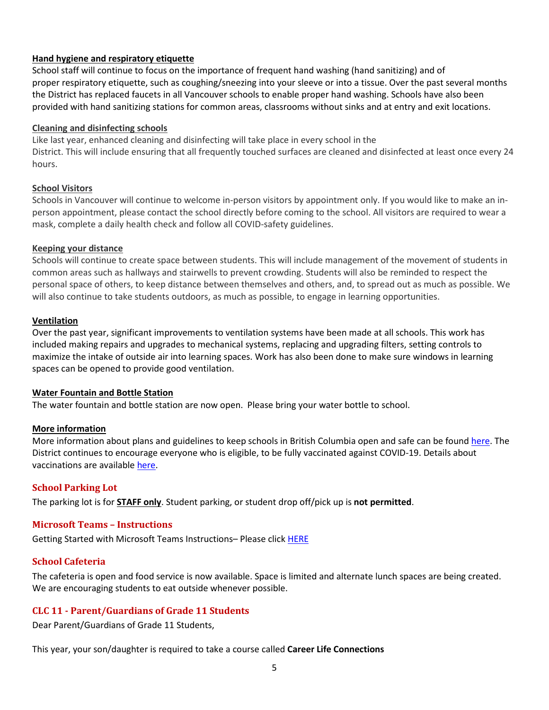## **Hand hygiene and respiratory etiquette**

School staff will continue to focus on the importance of frequent hand washing (hand sanitizing) and of proper respiratory etiquette, such as coughing/sneezing into your sleeve or into a tissue. Over the past several months the District has replaced faucets in all Vancouver schools to enable proper hand washing. Schools have also been provided with hand sanitizing stations for common areas, classrooms without sinks and at entry and exit locations.

#### **Cleaning and disinfecting schools**

Like last year, enhanced cleaning and disinfecting will take place in every school in the District. This will include ensuring that all frequently touched surfaces are cleaned and disinfected at least once every 24 hours.

## **School Visitors**

Schools in Vancouver will continue to welcome in-person visitors by appointment only. If you would like to make an inperson appointment, please contact the school directly before coming to the school. All visitors are required to wear a mask, complete a daily health check and follow all COVID-safety guidelines.

## **Keeping your distance**

Schools will continue to create space between students. This will include management of the movement of students in common areas such as hallways and stairwells to prevent crowding. Students will also be reminded to respect the personal space of others, to keep distance between themselves and others, and, to spread out as much as possible. We will also continue to take students outdoors, as much as possible, to engage in learning opportunities.

## **Ventilation**

Over the past year, significant improvements to ventilation systems have been made at all schools. This work has included making repairs and upgrades to mechanical systems, replacing and upgrading filters, setting controls to maximize the intake of outside air into learning spaces. Work has also been done to make sure windows in learning spaces can be opened to provide good ventilation.

#### **Water Fountain and Bottle Station**

The water fountain and bottle station are now open. Please bring your water bottle to school.

#### **More information**

More information about plans and guidelines to keep schools in British Columbia open and safe can be found [here.](https://www2.gov.bc.ca/gov/content/education-training/k-12/covid-19-safe-schools) The District continues to encourage everyone who is eligible, to be fully vaccinated against COVID-19. Details about vaccinations are available [here.](http://www.vch.ca/covid-19/covid-19-vaccine)

# <span id="page-4-0"></span>**School Parking Lot**

<span id="page-4-1"></span>The parking lot is for **STAFF only**. Student parking, or student drop off/pick up is **not permitted**.

# **Microsoft Teams – Instructions**

<span id="page-4-2"></span>Getting Started with Microsoft Teams Instructions– Please click [HERE](https://www.vsb.bc.ca/schools/lord-byng/About-Us/Publications/Documents/Microsoft%20Teams%20Sept%20Instructions.pdf)

# **School Cafeteria**

The cafeteria is open and food service is now available. Space is limited and alternate lunch spaces are being created. We are encouraging students to eat outside whenever possible.

# <span id="page-4-3"></span>**CLC 11 - Parent/Guardians of Grade 11 Students**

Dear Parent/Guardians of Grade 11 Students,

This year, your son/daughter is required to take a course called **Career Life Connections**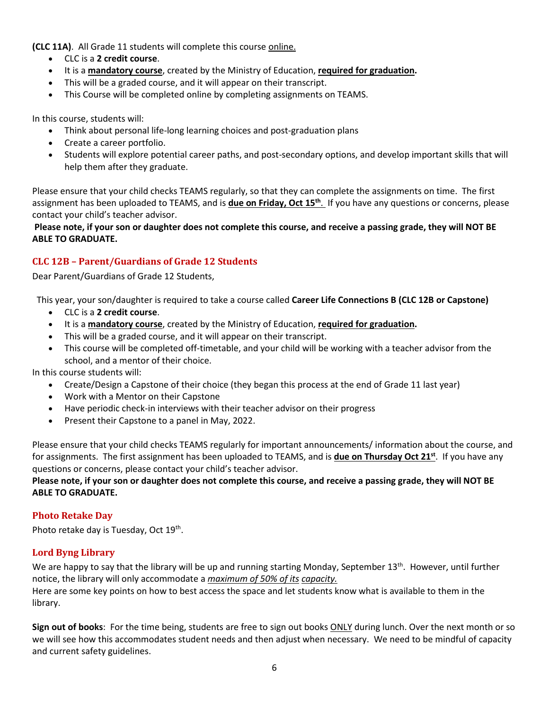**(CLC 11A)**. All Grade 11 students will complete this course online.

- CLC is a **2 credit course**.
- It is a **mandatory course**, created by the Ministry of Education, **required for graduation.**
- This will be a graded course, and it will appear on their transcript.
- This Course will be completed online by completing assignments on TEAMS.

In this course, students will:

- Think about personal life-long learning choices and post-graduation plans
- Create a career portfolio.
- Students will explore potential career paths, and post-secondary options, and develop important skills that will help them after they graduate.

Please ensure that your child checks TEAMS regularly, so that they can complete the assignments on time. The first assignment has been uploaded to TEAMS, and is **due on Friday, Oct 15th**. If you have any questions or concerns, please contact your child's teacher advisor.

**Please note, if your son or daughter does not complete this course, and receive a passing grade, they will NOT BE ABLE TO GRADUATE.** 

# <span id="page-5-0"></span>**CLC 12B – Parent/Guardians of Grade 12 Students**

Dear Parent/Guardians of Grade 12 Students,

This year, your son/daughter is required to take a course called **Career Life Connections B (CLC 12B or Capstone)**

- CLC is a **2 credit course**.
- It is a **mandatory course**, created by the Ministry of Education, **required for graduation.**
- This will be a graded course, and it will appear on their transcript.
- This course will be completed off-timetable, and your child will be working with a teacher advisor from the school, and a mentor of their choice.

In this course students will:

- Create/Design a Capstone of their choice (they began this process at the end of Grade 11 last year)
- Work with a Mentor on their Capstone
- Have periodic check-in interviews with their teacher advisor on their progress
- Present their Capstone to a panel in May, 2022.

Please ensure that your child checks TEAMS regularly for important announcements/ information about the course, and for assignments. The first assignment has been uploaded to TEAMS, and is **due on Thursday Oct 21st**. If you have any questions or concerns, please contact your child's teacher advisor.

## **Please note, if your son or daughter does not complete this course, and receive a passing grade, they will NOT BE ABLE TO GRADUATE.**

# <span id="page-5-1"></span>**Photo Retake Day**

<span id="page-5-2"></span>Photo retake day is Tuesday, Oct 19<sup>th</sup>.

# **Lord Byng Library**

We are happy to say that the library will be up and running starting Monday, September 13<sup>th</sup>. However, until further notice, the library will only accommodate a *maximum of 50% of its capacity.*

Here are some key points on how to best access the space and let students know what is available to them in the library.

**Sign out of books**: For the time being, students are free to sign out books ONLY during lunch. Over the next month or so we will see how this accommodates student needs and then adjust when necessary. We need to be mindful of capacity and current safety guidelines.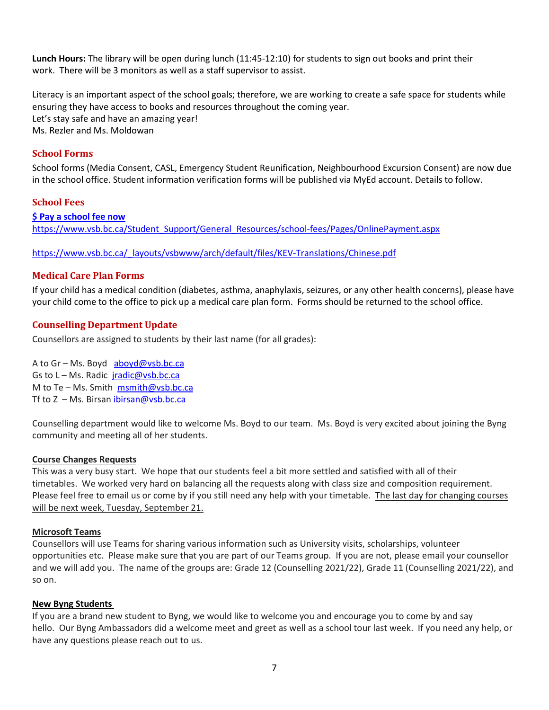**Lunch Hours:** The library will be open during lunch (11:45-12:10) for students to sign out books and print their work. There will be 3 monitors as well as a staff supervisor to assist.

Literacy is an important aspect of the school goals; therefore, we are working to create a safe space for students while ensuring they have access to books and resources throughout the coming year. Let's stay safe and have an amazing year! Ms. Rezler and Ms. Moldowan

# <span id="page-6-0"></span>**School Forms**

School forms (Media Consent, CASL, Emergency Student Reunification, Neighbourhood Excursion Consent) are now due in the school office. Student information verification forms will be published via MyEd account. Details to follow.

#### <span id="page-6-1"></span>**School Fees**

**\$ [Pay a school fee now](https://vsb.schoolcashonline.com/)** [https://www.vsb.bc.ca/Student\\_Support/General\\_Resources/school-fees/Pages/OnlinePayment.aspx](https://www.vsb.bc.ca/Student_Support/General_Resources/school-fees/Pages/OnlinePayment.aspx)

<span id="page-6-2"></span>[https://www.vsb.bc.ca/\\_layouts/vsbwww/arch/default/files/KEV-Translations/Chinese.pdf](https://www.vsb.bc.ca/_layouts/vsbwww/arch/default/files/KEV-Translations/Chinese.pdf)

#### **Medical Care Plan Forms**

If your child has a medical condition (diabetes, asthma, anaphylaxis, seizures, or any other health concerns), please have your child come to the office to pick up a medical care plan form. Forms should be returned to the school office.

#### <span id="page-6-3"></span>**Counselling Department Update**

Counsellors are assigned to students by their last name (for all grades):

A to Gr – Ms. Boyd [aboyd@vsb.bc.ca](mailto:aboyd@vsb.bc.ca) Gs to L - Ms. Radic [jradic@vsb.bc.ca](mailto:jradic@vsb.bc.ca) M to Te – Ms. Smith [msmith@vsb.bc.ca](mailto:msmith@vsb.bc.ca) Tf to  $Z$  – Ms. Birsan [ibirsan@vsb.bc.ca](mailto:ibirsan@vsb.bc.ca)

Counselling department would like to welcome Ms. Boyd to our team. Ms. Boyd is very excited about joining the Byng community and meeting all of her students.

#### **Course Changes Requests**

This was a very busy start. We hope that our students feel a bit more settled and satisfied with all of their timetables. We worked very hard on balancing all the requests along with class size and composition requirement. Please feel free to email us or come by if you still need any help with your timetable. The last day for changing courses will be next week, Tuesday, September 21.

#### **Microsoft Teams**

Counsellors will use Teams for sharing various information such as University visits, scholarships, volunteer opportunities etc. Please make sure that you are part of our Teams group. If you are not, please email your counsellor and we will add you. The name of the groups are: Grade 12 (Counselling 2021/22), Grade 11 (Counselling 2021/22), and so on.

#### **New Byng Students**

If you are a brand new student to Byng, we would like to welcome you and encourage you to come by and say hello. Our Byng Ambassadors did a welcome meet and greet as well as a school tour last week. If you need any help, or have any questions please reach out to us.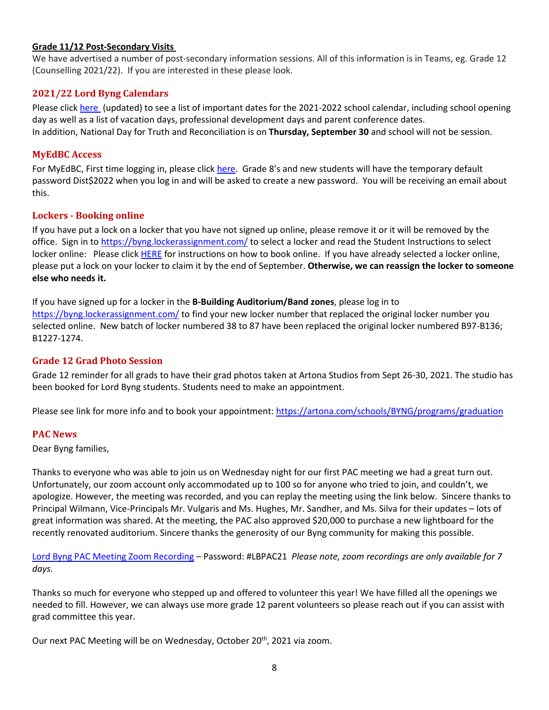## **Grade 11/12 Post-Secondary Visits**

We have advertised a number of post-secondary information sessions. All of this information is in Teams, eg. Grade 12 (Counselling 2021/22). If you are interested in these please look.

# <span id="page-7-0"></span>**2021/22 Lord Byng Calendars**

Please click [here](https://www.vsb.bc.ca/repository/SBAttachments/0f988815-fa1c-4181-b3e8-0b4f018bfc64_SecondaryCalendar2021-22Byng-Updated.pdf) (updated) to see a list of important dates for the 2021-2022 school calendar, including school opening day as well as a list of vacation days, professional development days and parent conference dates. In addition, National Day for Truth and Reconciliation is on **Thursday, September 30** and school will not be session.

## <span id="page-7-1"></span>**MyEdBC Access**

For MyEdBC, First time logging in, please click [here.](https://www.vsb.bc.ca/schools/lord-byng/About-Us/Publications/Documents/First%20Time%20Logging%20In.pdf) Grade 8's and new students will have the temporary default password Dist\$2022 when you log in and will be asked to create a new password. You will be receiving an email about this.

## <span id="page-7-2"></span>**Lockers - Booking online**

If you have put a lock on a locker that you have not signed up online, please remove it or it will be removed by the office. Sign in t[o https://byng.lockerassignment.com/](https://byng.lockerassignment.com/) to select a locker and read the Student Instructions to select locker online: Please click [HERE](https://www.vsb.bc.ca/schools/lord-byng/About-Us/Publications/Documents/Student%20Instructions%20to%20select%20locker%20online.pdf) for instructions on how to book online. If you have already selected a locker online, please put a lock on your locker to claim it by the end of September. **Otherwise, we can reassign the locker to someone else who needs it.** 

If you have signed up for a locker in the **B-Building Auditorium/Band zones**, please log in to <https://byng.lockerassignment.com/> to find your new locker number that replaced the original locker number you selected online. New batch of locker numbered 38 to 87 have been replaced the original locker numbered B97-B136; B1227-1274.

# <span id="page-7-3"></span>**Grade 12 Grad Photo Session**

Grade 12 reminder for all grads to have their grad photos taken at Artona Studios from Sept 26-30, 2021. The studio has been booked for Lord Byng students. Students need to make an appointment.

<span id="page-7-4"></span>Please see link for more info and to book your appointment:<https://artona.com/schools/BYNG/programs/graduation>

#### **PAC News**

Dear Byng families,

Thanks to everyone who was able to join us on Wednesday night for our first PAC meeting we had a great turn out. Unfortunately, our zoom account only accommodated up to 100 so for anyone who tried to join, and couldn't, we apologize. However, the meeting was recorded, and you can replay the meeting using the link below. Sincere thanks to Principal Wilmann, Vice-Principals Mr. Vulgaris and Ms. Hughes, Mr. Sandher, and Ms. Silva for their updates – lots of great information was shared. At the meeting, the PAC also approved \$20,000 to purchase a new lightboard for the recently renovated auditorium. Sincere thanks the generosity of our Byng community for making this possible.

[Lord Byng PAC Meeting Zoom Recording](https://us02web.zoom.us/rec/share/wtBxeWy3l5qv7QOXQ0xCAPuhJbNrIpwSMHK3KYPu-kr3tD6JJ0bV6TcHeovoMj0k.VgL1osIMiUPk6CqC) – Password: #LBPAC21 *Please note, zoom recordings are only available for 7 days.* 

Thanks so much for everyone who stepped up and offered to volunteer this year! We have filled all the openings we needed to fill. However, we can always use more grade 12 parent volunteers so please reach out if you can assist with grad committee this year.

Our next PAC Meeting will be on Wednesday, October 20<sup>th</sup>, 2021 via zoom.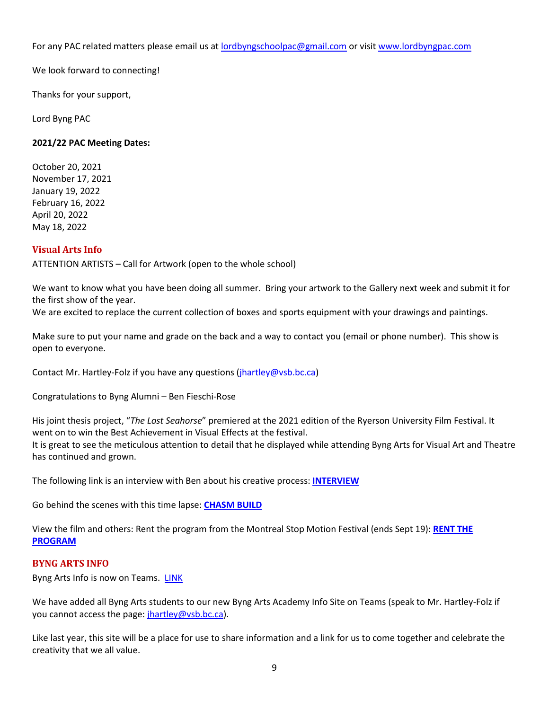For any PAC related matters please email us at [lordbyngschoolpac@gmail.com](mailto:lordbyngschoolpac@gmail.com) or visit [www.lordbyngpac.com](http://www.lordbyngpac.com/)

We look forward to connecting!

Thanks for your support,

Lord Byng PAC

## **2021/22 PAC Meeting Dates:**

October 20, 2021 November 17, 2021 January 19, 2022 February 16, 2022 April 20, 2022 May 18, 2022

## <span id="page-8-0"></span>**Visual Arts Info**

ATTENTION ARTISTS – Call for Artwork (open to the whole school)

We want to know what you have been doing all summer. Bring your artwork to the Gallery next week and submit it for the first show of the year.

We are excited to replace the current collection of boxes and sports equipment with your drawings and paintings.

Make sure to put your name and grade on the back and a way to contact you (email or phone number). This show is open to everyone.

Contact Mr. Hartley-Folz if you have any questions [\(jhartley@vsb.bc.ca\)](mailto:jhartley@vsb.bc.ca)

Congratulations to Byng Alumni – Ben Fieschi-Rose

His joint thesis project, "*The Lost Seahorse*" premiered at the 2021 edition of the Ryerson University Film Festival. It went on to win the Best Achievement in Visual Effects at the festival. It is great to see the meticulous attention to detail that he displayed while attending Byng Arts for Visual Art and Theatre has continued and grown.

The following link is an interview with Ben about his creative process: **[INTERVIEW](https://www.cjru.ca/interviews/ruff-2021-interview-with-benjamin-fieschi-rose-director-of-the-lost-seahorse/)**

Go behind the scenes with this time lapse: **[CHASM BUILD](https://youtu.be/jEN8kpphQ5s)**

View the film and others: Rent the program from the Montreal Stop Motion Festival (ends Sept 19): **[RENT THE](https://vimeo.com/ondemand/fsmm2021en/595670365)  [PROGRAM](https://vimeo.com/ondemand/fsmm2021en/595670365)**

#### <span id="page-8-1"></span>**BYNG ARTS INFO**

Byng Arts Info is now on Teams. [LINK](https://teams.microsoft.com/l/team/19%3a3REzHABwkOxk5Xl8YaaJNFrRLmkPKd7Vpjr4K9gHZUI1%40thread.tacv2/conversations?groupId=0f991a6a-610f-435e-92af-4cad2f2e7c25&tenantId=0b8a2e58-7b30-4a08-bab7-d75559e0e3a5)

We have added all Byng Arts students to our new Byng Arts Academy Info Site on Teams (speak to Mr. Hartley-Folz if you cannot access the page: [jhartley@vsb.bc.ca\)](mailto:jhartley@vsb.bc.ca).

Like last year, this site will be a place for use to share information and a link for us to come together and celebrate the creativity that we all value.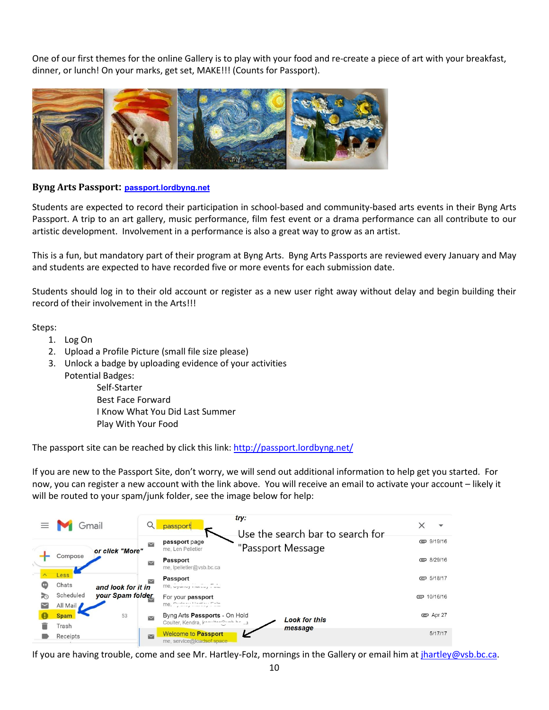One of our first themes for the online Gallery is to play with your food and re-create a piece of art with your breakfast, dinner, or lunch! On your marks, get set, MAKE!!! (Counts for Passport).



## **Byng Arts Passport: [passport.lordbyng.net](http://passport.lordbyng.net/)**

Students are expected to record their participation in school-based and community-based arts events in their Byng Arts Passport. A trip to an art gallery, music performance, film fest event or a drama performance can all contribute to our artistic development. Involvement in a performance is also a great way to grow as an artist.

This is a fun, but mandatory part of their program at Byng Arts. Byng Arts Passports are reviewed every January and May and students are expected to have recorded five or more events for each submission date.

Students should log in to their old account or register as a new user right away without delay and begin building their record of their involvement in the Arts!!!

Steps:

- 1. Log On
- 2. Upload a Profile Picture (small file size please)
- 3. Unlock a badge by uploading evidence of your activities Potential Badges:

Self-Starter Best Face Forward I Know What You Did Last Summer Play With Your Food

The passport site can be reached by click this link[: http://passport.lordbyng.net/](http://passport.lordbyng.net/)

If you are new to the Passport Site, don't worry, we will send out additional information to help get you started. For now, you can register a new account with the link above. You will receive an email to activate your account – likely it will be routed to your spam/junk folder, see the image below for help:

|        | $\equiv$ <b>M</b> Gmail |                                        |                     | try:<br>passport                                                                                                                                                    | Use the search bar to search for |  |                 |
|--------|-------------------------|----------------------------------------|---------------------|---------------------------------------------------------------------------------------------------------------------------------------------------------------------|----------------------------------|--|-----------------|
|        |                         | or click "More"                        | $\checkmark$        | passport page<br>me, Len Pelletier                                                                                                                                  | "Passport Message                |  | □ 9/19/16       |
|        | Compose                 |                                        | $\overline{\smile}$ | Passport<br>me, Ipelletier@vsb.bc.ca                                                                                                                                |                                  |  | ■ 8/29/16       |
|        | Less<br>Chats           |                                        |                     | Passport                                                                                                                                                            |                                  |  | € 5/18/17       |
| Œ<br>云 | Scheduled<br>All Mail   | and look for it in<br>your Spam folder |                     | $me, \bar{v}$ y $u_1, \bar{v}$ is $u_2, \bar{v}$ .<br>For your passport<br>me, $\sum_{i=1}^{n}$ $\sum_{i=1}^{n}$ $\sum_{i=1}^{n}$ $\sum_{i=1}^{n}$ $\sum_{i=1}^{n}$ |                                  |  | □ 10/16/16      |
|        | <b>Spam</b><br>Trash    | 53                                     | $\checkmark$        | Byng Arts Passports - On Hold<br>Coulter, Kendra, knowledge in the                                                                                                  | <b>Look for this</b>             |  | <b>©</b> Apr 27 |
|        | Receipts                |                                        | $\blacksquare$      | <b>Welcome to Passport</b><br>me, service@loadsof.space                                                                                                             | message                          |  | 5/17/17         |

If you are having trouble, come and see Mr. Hartley-Folz, mornings in the Gallery or email him a[t jhartley@vsb.bc.ca.](mailto:jhartley@vsb.bc.ca)